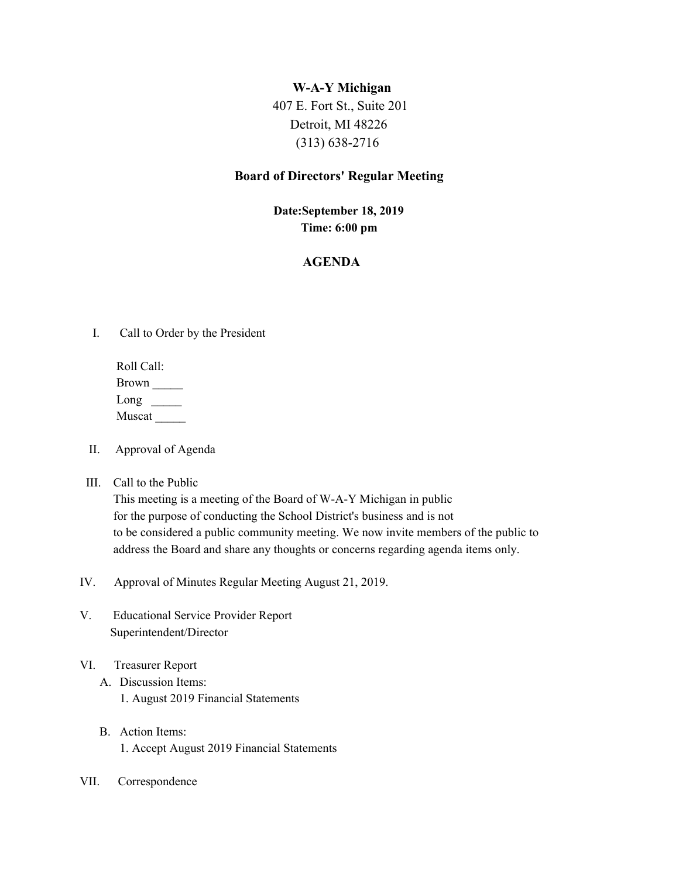### **W-A-Y Michigan**

 407 E. Fort St., Suite 201 Detroit, MI 48226 (313) 638-2716

### **Board of Directors' Regular Meeting**

## **Date:September 18, 2019 Time: 6:00 pm**

# **AGENDA**

I. Call to Order by the President

Roll Call: Brown \_\_\_\_\_  $Long \_$ Muscat \_\_\_\_\_

- II. Approval of Agenda
- III. Call to the Public

This meeting is a meeting of the Board of W-A-Y Michigan in public for the purpose of conducting the School District's business and is not to be considered a public community meeting. We now invite members of the public to address the Board and share any thoughts or concerns regarding agenda items only.

- IV. Approval of Minutes Regular Meeting August 21, 2019.
- V. Educational Service Provider Report Superintendent/Director
- VI. Treasurer Report
	- A. Discussion Items: 1. August 2019 Financial Statements
	- B. Action Items: 1. Accept August 2019 Financial Statements
- VII. Correspondence